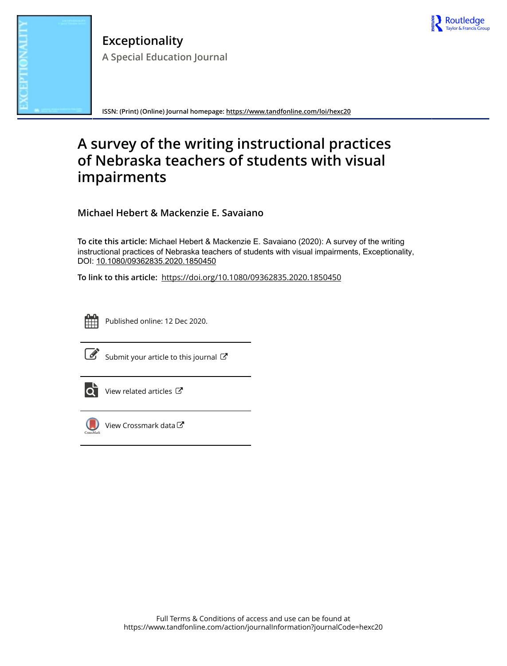

**Exceptionality A Special Education Journal**

**ISSN: (Print) (Online) Journal homepage:<https://www.tandfonline.com/loi/hexc20>**

# **A survey of the writing instructional practices of Nebraska teachers of students with visual impairments**

**Michael Hebert & Mackenzie E. Savaiano**

**To cite this article:** Michael Hebert & Mackenzie E. Savaiano (2020): A survey of the writing instructional practices of Nebraska teachers of students with visual impairments, Exceptionality, DOI: [10.1080/09362835.2020.1850450](https://www.tandfonline.com/action/showCitFormats?doi=10.1080/09362835.2020.1850450)

**To link to this article:** <https://doi.org/10.1080/09362835.2020.1850450>



Published online: 12 Dec 2020.



 $\overrightarrow{S}$  [Submit your article to this journal](https://www.tandfonline.com/action/authorSubmission?journalCode=hexc20&show=instructions)  $\overrightarrow{S}$ 



 $\overrightarrow{Q}$  [View related articles](https://www.tandfonline.com/doi/mlt/10.1080/09362835.2020.1850450)  $\overrightarrow{C}$ 



 $\bigcirc$  [View Crossmark data](http://crossmark.crossref.org/dialog/?doi=10.1080/09362835.2020.1850450&domain=pdf&date_stamp=2020-12-12) $\mathbb{Z}$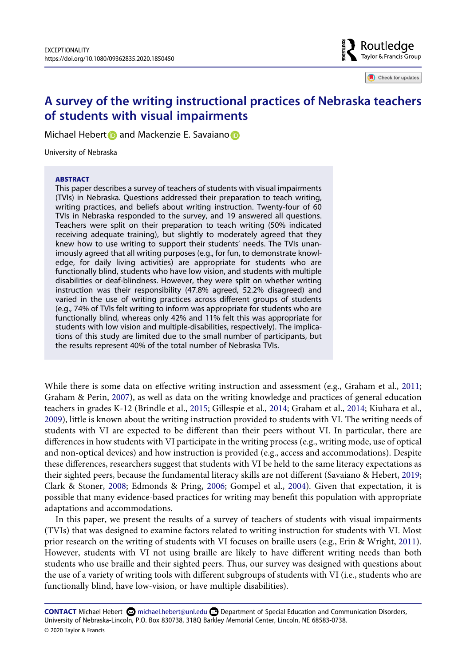

Check for updates

# **A survey of the writing instructional practices of Nebraska teachers of students with visual impairments**

Michael Heber[t](http://orcid.org/0000-0003-4235-1266) **and Mackenzie E. Savaian[o](http://orcid.org/0000-0002-5205-5818)** 

University of Nebraska

#### **ABSTRACT**

This paper describes a survey of teachers of students with visual impairments (TVIs) in Nebraska. Questions addressed their preparation to teach writing, writing practices, and beliefs about writing instruction. Twenty-four of 60 TVIs in Nebraska responded to the survey, and 19 answered all questions. Teachers were split on their preparation to teach writing (50% indicated receiving adequate training), but slightly to moderately agreed that they knew how to use writing to support their students' needs. The TVIs unanimously agreed that all writing purposes (e.g., for fun, to demonstrate knowledge, for daily living activities) are appropriate for students who are functionally blind, students who have low vision, and students with multiple disabilities or deaf-blindness. However, they were split on whether writing instruction was their responsibility (47.8% agreed, 52.2% disagreed) and varied in the use of writing practices across different groups of students (e.g., 74% of TVIs felt writing to inform was appropriate for students who are functionally blind, whereas only 42% and 11% felt this was appropriate for students with low vision and multiple-disabilities, respectively). The implications of this study are limited due to the small number of participants, but the results represent 40% of the total number of Nebraska TVIs.

<span id="page-1-4"></span><span id="page-1-3"></span><span id="page-1-0"></span>While there is some data on effective writing instruction and assessment (e.g., Graham et al., [2011;](#page-16-0) Graham & Perin, [2007](#page-16-1)), as well as data on the writing knowledge and practices of general education teachers in grades K-12 (Brindle et al., [2015;](#page-16-2) Gillespie et al., [2014](#page-16-3); Graham et al., [2014](#page-16-4); Kiuhara et al., [2009](#page-16-5)), little is known about the writing instruction provided to students with VI. The writing needs of students with VI are expected to be different than their peers without VI. In particular, there are differences in how students with VI participate in the writing process (e.g., writing mode, use of optical and non-optical devices) and how instruction is provided (e.g., access and accommodations). Despite these differences, researchers suggest that students with VI be held to the same literacy expectations as their sighted peers, because the fundamental literacy skills are not different (Savaiano & Hebert, [2019;](#page-16-6) Clark & Stoner, [2008](#page-16-7); Edmonds & Pring, [2006](#page-16-8); Gompel et al., [2004\)](#page-16-9). Given that expectation, it is possible that many evidence-based practices for writing may benefit this population with appropriate adaptations and accommodations.

<span id="page-1-5"></span><span id="page-1-2"></span><span id="page-1-1"></span>In this paper, we present the results of a survey of teachers of students with visual impairments (TVIs) that was designed to examine factors related to writing instruction for students with VI. Most prior research on the writing of students with VI focuses on braille users (e.g., Erin & Wright, [2011](#page-16-10)). However, students with VI not using braille are likely to have different writing needs than both students who use braille and their sighted peers. Thus, our survey was designed with questions about the use of a variety of writing tools with different subgroups of students with VI (i.e., students who are functionally blind, have low-vision, or have multiple disabilities).

**CONTACT** Michael Hebert **C** michael.hebert@unl.edu **Department of Special Education and Communication Disorders,** University of Nebraska-Lincoln, P.O. Box 830738, 318Q Barkley Memorial Center, Lincoln, NE 68583-0738. © 2020 Taylor & Francis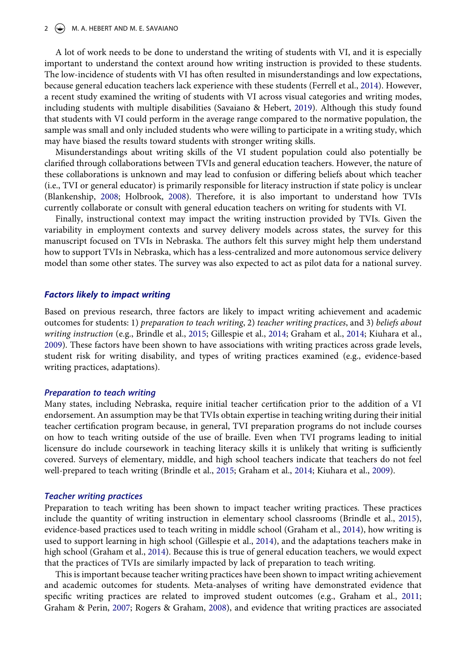#### 2  $\left(\bigstar\right)$  M. A. HEBERT AND M. E. SAVAIANO

<span id="page-2-1"></span>A lot of work needs to be done to understand the writing of students with VI, and it is especially important to understand the context around how writing instruction is provided to these students. The low-incidence of students with VI has often resulted in misunderstandings and low expectations, because general education teachers lack experience with these students (Ferrell et al., [2014](#page-16-11)). However, a recent study examined the writing of students with VI across visual categories and writing modes, including students with multiple disabilities (Savaiano & Hebert, [2019\)](#page-16-6). Although this study found that students with VI could perform in the average range compared to the normative population, the sample was small and only included students who were willing to participate in a writing study, which may have biased the results toward students with stronger writing skills.

Misunderstandings about writing skills of the VI student population could also potentially be clarified through collaborations between TVIs and general education teachers. However, the nature of these collaborations is unknown and may lead to confusion or differing beliefs about which teacher (i.e., TVI or general educator) is primarily responsible for literacy instruction if state policy is unclear (Blankenship, [2008;](#page-16-12) Holbrook, [2008](#page-16-13)). Therefore, it is also important to understand how TVIs currently collaborate or consult with general education teachers on writing for students with VI.

<span id="page-2-0"></span>Finally, instructional context may impact the writing instruction provided by TVIs. Given the variability in employment contexts and survey delivery models across states, the survey for this manuscript focused on TVIs in Nebraska. The authors felt this survey might help them understand how to support TVIs in Nebraska, which has a less-centralized and more autonomous service delivery model than some other states. The survey was also expected to act as pilot data for a national survey.

#### *Factors likely to impact writing*

Based on previous research, three factors are likely to impact writing achievement and academic outcomes for students: 1) *preparation to teach writing*, 2) *teacher writing practices*, and 3) *beliefs about writing instruction* (e.g., Brindle et al., [2015](#page-16-2); Gillespie et al., [2014;](#page-16-3) Graham et al., [2014](#page-16-4); Kiuhara et al., [2009](#page-16-5)). These factors have been shown to have associations with writing practices across grade levels, student risk for writing disability, and types of writing practices examined (e.g., evidence-based writing practices, adaptations).

#### *Preparation to teach writing*

Many states, including Nebraska, require initial teacher certification prior to the addition of a VI endorsement. An assumption may be that TVIs obtain expertise in teaching writing during their initial teacher certification program because, in general, TVI preparation programs do not include courses on how to teach writing outside of the use of braille. Even when TVI programs leading to initial licensure do include coursework in teaching literacy skills it is unlikely that writing is sufficiently covered. Surveys of elementary, middle, and high school teachers indicate that teachers do not feel well-prepared to teach writing (Brindle et al., [2015](#page-16-2); Graham et al., [2014;](#page-16-4) Kiuhara et al., [2009\)](#page-16-5).

#### *Teacher writing practices*

Preparation to teach writing has been shown to impact teacher writing practices. These practices include the quantity of writing instruction in elementary school classrooms (Brindle et al., [2015](#page-16-2)), evidence-based practices used to teach writing in middle school (Graham et al., [2014\)](#page-16-4), how writing is used to support learning in high school (Gillespie et al., [2014\)](#page-16-3), and the adaptations teachers make in high school (Graham et al., [2014](#page-16-4)). Because this is true of general education teachers, we would expect that the practices of TVIs are similarly impacted by lack of preparation to teach writing.

<span id="page-2-2"></span>This is important because teacher writing practices have been shown to impact writing achievement and academic outcomes for students. Meta-analyses of writing have demonstrated evidence that specific writing practices are related to improved student outcomes (e.g., Graham et al., [2011;](#page-16-0) Graham & Perin, [2007;](#page-16-1) Rogers & Graham, [2008\)](#page-16-14), and evidence that writing practices are associated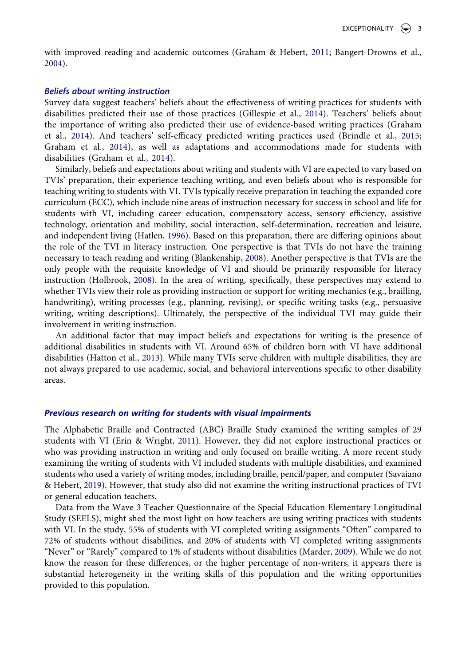<span id="page-3-0"></span>with improved reading and academic outcomes (Graham & Hebert, [2011;](#page-16-15) Bangert-Drowns et al., [2004](#page-16-16)).

# *Beliefs about writing instruction*

Survey data suggest teachers' beliefs about the effectiveness of writing practices for students with disabilities predicted their use of those practices (Gillespie et al., [2014](#page-16-3)). Teachers' beliefs about the importance of writing also predicted their use of evidence-based writing practices (Graham et al., [2014\)](#page-16-4). And teachers' self-efficacy predicted writing practices used (Brindle et al., [2015;](#page-16-2) Graham et al., [2014](#page-16-4)), as well as adaptations and accommodations made for students with disabilities (Graham et al., [2014\)](#page-16-4).

<span id="page-3-1"></span>Similarly, beliefs and expectations about writing and students with VI are expected to vary based on TVIs' preparation, their experience teaching writing, and even beliefs about who is responsible for teaching writing to students with VI. TVIs typically receive preparation in teaching the expanded core curriculum (ECC), which include nine areas of instruction necessary for success in school and life for students with VI, including career education, compensatory access, sensory efficiency, assistive technology, orientation and mobility, social interaction, self-determination, recreation and leisure, and independent living (Hatlen, [1996](#page-16-17)). Based on this preparation, there are differing opinions about the role of the TVI in literacy instruction. One perspective is that TVIs do not have the training necessary to teach reading and writing (Blankenship, [2008](#page-16-12)). Another perspective is that TVIs are the only people with the requisite knowledge of VI and should be primarily responsible for literacy instruction (Holbrook, [2008\)](#page-16-13). In the area of writing, specifically, these perspectives may extend to whether TVIs view their role as providing instruction or support for writing mechanics (e.g., brailling, handwriting), writing processes (e.g., planning, revising), or specific writing tasks (e.g., persuasive writing, writing descriptions). Ultimately, the perspective of the individual TVI may guide their involvement in writing instruction.

<span id="page-3-2"></span>An additional factor that may impact beliefs and expectations for writing is the presence of additional disabilities in students with VI. Around 65% of children born with VI have additional disabilities (Hatton et al., [2013\)](#page-16-18). While many TVIs serve children with multiple disabilities, they are not always prepared to use academic, social, and behavioral interventions specific to other disability areas.

# *Previous research on writing for students with visual impairments*

The Alphabetic Braille and Contracted (ABC) Braille Study examined the writing samples of 29 students with VI (Erin & Wright, [2011\)](#page-16-10). However, they did not explore instructional practices or who was providing instruction in writing and only focused on braille writing. A more recent study examining the writing of students with VI included students with multiple disabilities, and examined students who used a variety of writing modes, including braille, pencil/paper, and computer (Savaiano & Hebert, [2019\)](#page-16-6). However, that study also did not examine the writing instructional practices of TVI or general education teachers.

<span id="page-3-3"></span>Data from the Wave 3 Teacher Questionnaire of the Special Education Elementary Longitudinal Study (SEELS), might shed the most light on how teachers are using writing practices with students with VI. In the study, 55% of students with VI completed writing assignments "Often" compared to 72% of students without disabilities, and 20% of students with VI completed writing assignments "Never" or "Rarely" compared to 1% of students without disabilities (Marder, [2009](#page-16-19)). While we do not know the reason for these differences, or the higher percentage of non-writers, it appears there is substantial heterogeneity in the writing skills of this population and the writing opportunities provided to this population.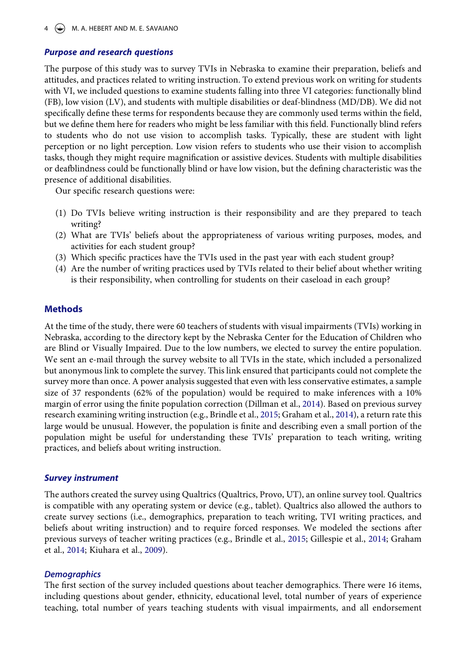# *Purpose and research questions*

The purpose of this study was to survey TVIs in Nebraska to examine their preparation, beliefs and attitudes, and practices related to writing instruction. To extend previous work on writing for students with VI, we included questions to examine students falling into three VI categories: functionally blind (FB), low vision (LV), and students with multiple disabilities or deaf-blindness (MD/DB). We did not specifically define these terms for respondents because they are commonly used terms within the field, but we define them here for readers who might be less familiar with this field. Functionally blind refers to students who do not use vision to accomplish tasks. Typically, these are student with light perception or no light perception. Low vision refers to students who use their vision to accomplish tasks, though they might require magnification or assistive devices. Students with multiple disabilities or deafblindness could be functionally blind or have low vision, but the defining characteristic was the presence of additional disabilities.

Our specific research questions were:

- (1) Do TVIs believe writing instruction is their responsibility and are they prepared to teach writing?
- (2) What are TVIs' beliefs about the appropriateness of various writing purposes, modes, and activities for each student group?
- (3) Which specific practices have the TVIs used in the past year with each student group?
- (4) Are the number of writing practices used by TVIs related to their belief about whether writing is their responsibility, when controlling for students on their caseload in each group?

# **Methods**

<span id="page-4-0"></span>At the time of the study, there were 60 teachers of students with visual impairments (TVIs) working in Nebraska, according to the directory kept by the Nebraska Center for the Education of Children who are Blind or Visually Impaired. Due to the low numbers, we elected to survey the entire population. We sent an e-mail through the survey website to all TVIs in the state, which included a personalized but anonymous link to complete the survey. This link ensured that participants could not complete the survey more than once. A power analysis suggested that even with less conservative estimates, a sample size of 37 respondents (62% of the population) would be required to make inferences with a 10% margin of error using the finite population correction (Dillman et al., [2014](#page-16-20)). Based on previous survey research examining writing instruction (e.g., Brindle et al., [2015;](#page-16-2) Graham et al., [2014](#page-16-4)), a return rate this large would be unusual. However, the population is finite and describing even a small portion of the population might be useful for understanding these TVIs' preparation to teach writing, writing practices, and beliefs about writing instruction.

# *Survey instrument*

The authors created the survey using Qualtrics (Qualtrics, Provo, UT), an online survey tool. Qualtrics is compatible with any operating system or device (e.g., tablet). Qualtrics also allowed the authors to create survey sections (i.e., demographics, preparation to teach writing, TVI writing practices, and beliefs about writing instruction) and to require forced responses. We modeled the sections after previous surveys of teacher writing practices (e.g., Brindle et al., [2015;](#page-16-2) Gillespie et al., [2014;](#page-16-3) Graham et al., [2014;](#page-16-4) Kiuhara et al., [2009\)](#page-16-5).

# *Demographics*

The first section of the survey included questions about teacher demographics. There were 16 items, including questions about gender, ethnicity, educational level, total number of years of experience teaching, total number of years teaching students with visual impairments, and all endorsement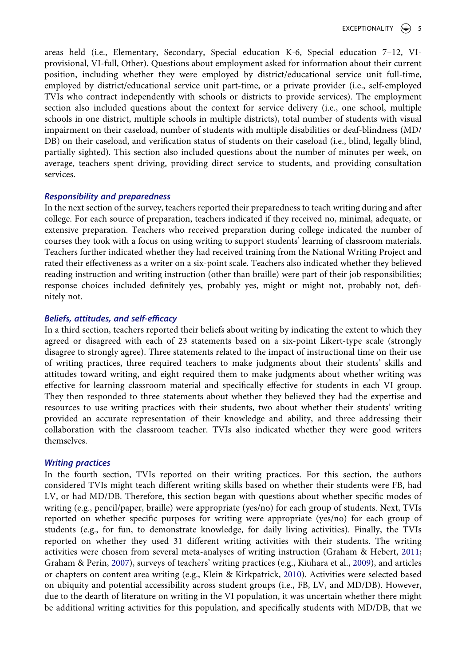areas held (i.e., Elementary, Secondary, Special education K-6, Special education 7–12, VIprovisional, VI-full, Other). Questions about employment asked for information about their current position, including whether they were employed by district/educational service unit full-time, employed by district/educational service unit part-time, or a private provider (i.e., self-employed TVIs who contract independently with schools or districts to provide services). The employment section also included questions about the context for service delivery (i.e., one school, multiple schools in one district, multiple schools in multiple districts), total number of students with visual impairment on their caseload, number of students with multiple disabilities or deaf-blindness (MD/ DB) on their caseload, and verification status of students on their caseload (i.e., blind, legally blind, partially sighted). This section also included questions about the number of minutes per week, on average, teachers spent driving, providing direct service to students, and providing consultation services.

# *Responsibility and preparedness*

In the next section of the survey, teachers reported their preparedness to teach writing during and after college. For each source of preparation, teachers indicated if they received no, minimal, adequate, or extensive preparation. Teachers who received preparation during college indicated the number of courses they took with a focus on using writing to support students' learning of classroom materials. Teachers further indicated whether they had received training from the National Writing Project and rated their effectiveness as a writer on a six-point scale. Teachers also indicated whether they believed reading instruction and writing instruction (other than braille) were part of their job responsibilities; response choices included definitely yes, probably yes, might or might not, probably not, definitely not.

# *Beliefs, attitudes, and self-efficacy*

In a third section, teachers reported their beliefs about writing by indicating the extent to which they agreed or disagreed with each of 23 statements based on a six-point Likert-type scale (strongly disagree to strongly agree). Three statements related to the impact of instructional time on their use of writing practices, three required teachers to make judgments about their students' skills and attitudes toward writing, and eight required them to make judgments about whether writing was effective for learning classroom material and specifically effective for students in each VI group. They then responded to three statements about whether they believed they had the expertise and resources to use writing practices with their students, two about whether their students' writing provided an accurate representation of their knowledge and ability, and three addressing their collaboration with the classroom teacher. TVIs also indicated whether they were good writers themselves.

# *Writing practices*

<span id="page-5-0"></span>In the fourth section, TVIs reported on their writing practices. For this section, the authors considered TVIs might teach different writing skills based on whether their students were FB, had LV, or had MD/DB. Therefore, this section began with questions about whether specific modes of writing (e.g., pencil/paper, braille) were appropriate (yes/no) for each group of students. Next, TVIs reported on whether specific purposes for writing were appropriate (yes/no) for each group of students (e.g., for fun, to demonstrate knowledge, for daily living activities). Finally, the TVIs reported on whether they used 31 different writing activities with their students. The writing activities were chosen from several meta-analyses of writing instruction (Graham & Hebert, [2011;](#page-16-15) Graham & Perin, [2007\)](#page-16-1), surveys of teachers' writing practices (e.g., Kiuhara et al., [2009](#page-16-5)), and articles or chapters on content area writing (e.g., Klein & Kirkpatrick, [2010](#page-16-21)). Activities were selected based on ubiquity and potential accessibility across student groups (i.e., FB, LV, and MD/DB). However, due to the dearth of literature on writing in the VI population, it was uncertain whether there might be additional writing activities for this population, and specifically students with MD/DB, that we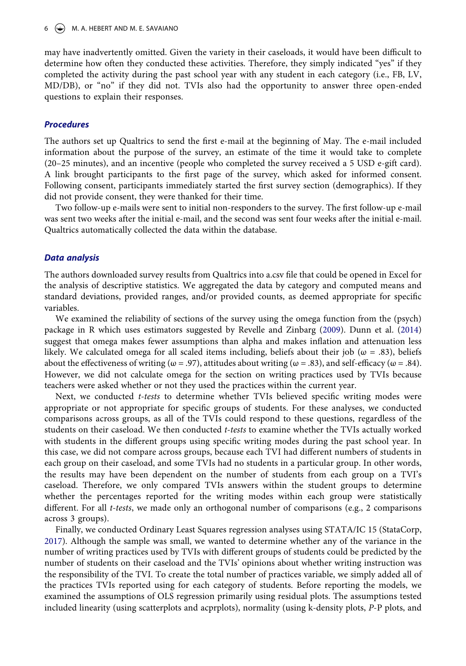may have inadvertently omitted. Given the variety in their caseloads, it would have been difficult to determine how often they conducted these activities. Therefore, they simply indicated "yes" if they completed the activity during the past school year with any student in each category (i.e., FB, LV, MD/DB), or "no" if they did not. TVIs also had the opportunity to answer three open-ended questions to explain their responses.

## *Procedures*

The authors set up Qualtrics to send the first e-mail at the beginning of May. The e-mail included information about the purpose of the survey, an estimate of the time it would take to complete (20–25 minutes), and an incentive (people who completed the survey received a 5 USD e-gift card). A link brought participants to the first page of the survey, which asked for informed consent. Following consent, participants immediately started the first survey section (demographics). If they did not provide consent, they were thanked for their time.

Two follow-up e-mails were sent to initial non-responders to the survey. The first follow-up e-mail was sent two weeks after the initial e-mail, and the second was sent four weeks after the initial e-mail. Qualtrics automatically collected the data within the database.

#### *Data analysis*

The authors downloaded survey results from Qualtrics into a.csv file that could be opened in Excel for the analysis of descriptive statistics. We aggregated the data by category and computed means and standard deviations, provided ranges, and/or provided counts, as deemed appropriate for specific variables.

<span id="page-6-0"></span>We examined the reliability of sections of the survey using the omega function from the (psych) package in R which uses estimators suggested by Revelle and Zinbarg [\(2009](#page-16-22)). Dunn et al. [\(2014\)](#page-16-23) suggest that omega makes fewer assumptions than alpha and makes inflation and attenuation less likely. We calculated omega for all scaled items including, beliefs about their job ( $\omega = .83$ ), beliefs about the effectiveness of writing ( $\omega = .97$ ), attitudes about writing ( $\omega = .83$ ), and self-efficacy ( $\omega = .84$ ). However, we did not calculate omega for the section on writing practices used by TVIs because teachers were asked whether or not they used the practices within the current year.

Next, we conducted *t-tests* to determine whether TVIs believed specific writing modes were appropriate or not appropriate for specific groups of students. For these analyses, we conducted comparisons across groups, as all of the TVIs could respond to these questions, regardless of the students on their caseload. We then conducted *t-tests* to examine whether the TVIs actually worked with students in the different groups using specific writing modes during the past school year. In this case, we did not compare across groups, because each TVI had different numbers of students in each group on their caseload, and some TVIs had no students in a particular group. In other words, the results may have been dependent on the number of students from each group on a TVI's caseload. Therefore, we only compared TVIs answers within the student groups to determine whether the percentages reported for the writing modes within each group were statistically different. For all *t-tests*, we made only an orthogonal number of comparisons (e.g., 2 comparisons across 3 groups).

<span id="page-6-1"></span>Finally, we conducted Ordinary Least Squares regression analyses using STATA/IC 15 (StataCorp, [2017](#page-16-24)). Although the sample was small, we wanted to determine whether any of the variance in the number of writing practices used by TVIs with different groups of students could be predicted by the number of students on their caseload and the TVIs' opinions about whether writing instruction was the responsibility of the TVI. To create the total number of practices variable, we simply added all of the practices TVIs reported using for each category of students. Before reporting the models, we examined the assumptions of OLS regression primarily using residual plots. The assumptions tested included linearity (using scatterplots and acprplots), normality (using k-density plots, *P*-P plots, and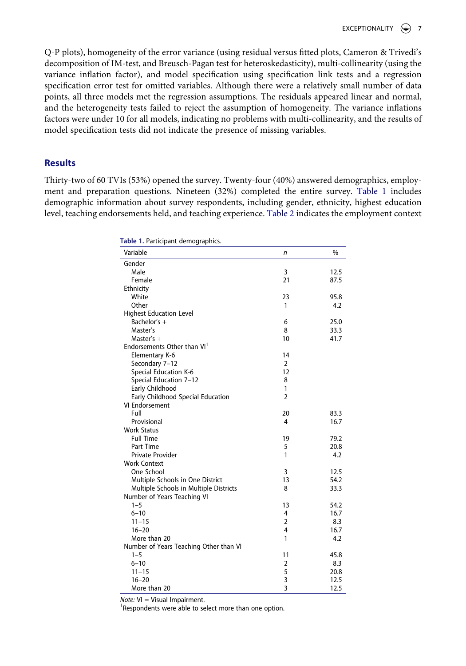Q-P plots), homogeneity of the error variance (using residual versus fitted plots, Cameron & Trivedi's decomposition of IM-test, and Breusch-Pagan test for heteroskedasticity), multi-collinearity (using the variance inflation factor), and model specification using specification link tests and a regression specification error test for omitted variables. Although there were a relatively small number of data points, all three models met the regression assumptions. The residuals appeared linear and normal, and the heterogeneity tests failed to reject the assumption of homogeneity. The variance inflations factors were under 10 for all models, indicating no problems with multi-collinearity, and the results of model specification tests did not indicate the presence of missing variables.

# **Results**

Thirty-two of 60 TVIs (53%) opened the survey. Twenty-four (40%) answered demographics, employment and preparation questions. Nineteen (32%) completed the entire survey. [Table 1](#page-7-0) includes demographic information about survey respondents, including gender, ethnicity, highest education level, teaching endorsements held, and teaching experience. [Table 2](#page-8-0) indicates the employment context

<span id="page-7-0"></span>

| Table 1. Participant demographics.      |                |      |
|-----------------------------------------|----------------|------|
| Variable                                | n              | $\%$ |
| Gender                                  |                |      |
| Male                                    | 3              | 12.5 |
| Female                                  | 21             | 87.5 |
| Ethnicity                               |                |      |
| White                                   | 23             | 95.8 |
| Other                                   | 1              | 4.2  |
| <b>Highest Education Level</b>          |                |      |
| Bachelor's +                            | 6              | 25.0 |
| Master's                                | 8              | 33.3 |
| Master's $+$                            | 10             | 41.7 |
| Endorsements Other than VI <sup>1</sup> |                |      |
| Elementary K-6                          | 14             |      |
| Secondary 7-12                          | $\overline{2}$ |      |
| Special Education K-6                   | 12             |      |
| Special Education 7-12                  | 8              |      |
| Early Childhood                         | 1              |      |
| Early Childhood Special Education       | $\overline{2}$ |      |
| VI Endorsement                          |                |      |
| Full                                    | 20             | 83.3 |
| Provisional                             | 4              | 16.7 |
| <b>Work Status</b>                      |                |      |
| <b>Full Time</b>                        | 19             | 79.2 |
| Part Time                               | 5              | 20.8 |
| Private Provider                        | 1              | 4.2  |
| <b>Work Context</b>                     |                |      |
| One School                              | 3              | 12.5 |
| Multiple Schools in One District        | 13             | 54.2 |
| Multiple Schools in Multiple Districts  | 8              | 33.3 |
| Number of Years Teaching VI             |                |      |
| $1 - 5$                                 | 13             | 54.2 |
| $6 - 10$                                | 4              | 16.7 |
| $11 - 15$                               | $\overline{2}$ | 8.3  |
| $16 - 20$                               | 4              | 16.7 |
| More than 20                            | 1              | 4.2  |
| Number of Years Teaching Other than VI  |                |      |
| $1 - 5$                                 | 11             | 45.8 |
| $6 - 10$                                | $\overline{2}$ | 8.3  |
| $11 - 15$                               | 5              | 20.8 |
| $16 - 20$                               | 3              | 12.5 |
| More than 20                            | $\overline{3}$ | 12.5 |

*Note:*  $VI = Visual$  *Impairment.* 

<sup>1</sup>Respondents were able to select more than one option.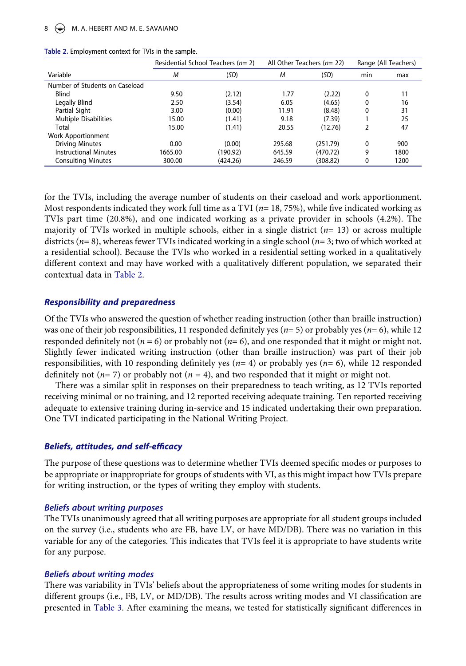|                                |         | Residential School Teachers ( $n=2$ ) | All Other Teachers $(n=22)$ |          | Range (All Teachers) |      |
|--------------------------------|---------|---------------------------------------|-----------------------------|----------|----------------------|------|
| Variable                       | М       | (SD)                                  | M                           | (SD)     | min                  | max  |
| Number of Students on Caseload |         |                                       |                             |          |                      |      |
| <b>Blind</b>                   | 9.50    | (2.12)                                | 1.77                        | (2.22)   | 0                    | 11   |
| Legally Blind                  | 2.50    | (3.54)                                | 6.05                        | (4.65)   | 0                    | 16   |
| Partial Sight                  | 3.00    | (0.00)                                | 11.91                       | (8.48)   | 0                    | 31   |
| <b>Multiple Disabilities</b>   | 15.00   | (1.41)                                | 9.18                        | (7.39)   |                      | 25   |
| Total                          | 15.00   | (1.41)                                | 20.55                       | (12.76)  | 2                    | 47   |
| Work Apportionment             |         |                                       |                             |          |                      |      |
| <b>Driving Minutes</b>         | 0.00    | (0.00)                                | 295.68                      | (251.79) | 0                    | 900  |
| <b>Instructional Minutes</b>   | 1665.00 | (190.92)                              | 645.59                      | (470.72) | 9                    | 1800 |
| <b>Consulting Minutes</b>      | 300.00  | (424.26)                              | 246.59                      | (308.82) | 0                    | 1200 |

<span id="page-8-0"></span>

| Table 2. Employment context for TVIs in the sample. |  |  |  |  |  |  |  |  |  |  |  |
|-----------------------------------------------------|--|--|--|--|--|--|--|--|--|--|--|
|-----------------------------------------------------|--|--|--|--|--|--|--|--|--|--|--|

for the TVIs, including the average number of students on their caseload and work apportionment. Most respondents indicated they work full time as a TVI (*n*= 18, 75%), while five indicated working as TVIs part time (20.8%), and one indicated working as a private provider in schools (4.2%). The majority of TVIs worked in multiple schools, either in a single district (*n*= 13) or across multiple districts (*n*= 8), whereas fewer TVIs indicated working in a single school (*n*= 3; two of which worked at a residential school). Because the TVIs who worked in a residential setting worked in a qualitatively different context and may have worked with a qualitatively different population, we separated their contextual data in [Table 2.](#page-8-0)

# *Responsibility and preparedness*

Of the TVIs who answered the question of whether reading instruction (other than braille instruction) was one of their job responsibilities, 11 responded definitely yes (*n*= 5) or probably yes (*n*= 6), while 12 responded definitely not ( $n = 6$ ) or probably not ( $n = 6$ ), and one responded that it might or might not. Slightly fewer indicated writing instruction (other than braille instruction) was part of their job responsibilities, with 10 responding definitely yes (*n*= 4) or probably yes (*n*= 6), while 12 responded definitely not  $(n=7)$  or probably not  $(n=4)$ , and two responded that it might or might not.

There was a similar split in responses on their preparedness to teach writing, as 12 TVIs reported receiving minimal or no training, and 12 reported receiving adequate training. Ten reported receiving adequate to extensive training during in-service and 15 indicated undertaking their own preparation. One TVI indicated participating in the National Writing Project.

#### *Beliefs, attitudes, and self-efficacy*

The purpose of these questions was to determine whether TVIs deemed specific modes or purposes to be appropriate or inappropriate for groups of students with VI, as this might impact how TVIs prepare for writing instruction, or the types of writing they employ with students.

#### *Beliefs about writing purposes*

The TVIs unanimously agreed that all writing purposes are appropriate for all student groups included on the survey (i.e., students who are FB, have LV, or have MD/DB). There was no variation in this variable for any of the categories. This indicates that TVIs feel it is appropriate to have students write for any purpose.

#### *Beliefs about writing modes*

There was variability in TVIs' beliefs about the appropriateness of some writing modes for students in different groups (i.e., FB, LV, or MD/DB). The results across writing modes and VI classification are presented in [Table 3.](#page-9-0) After examining the means, we tested for statistically significant differences in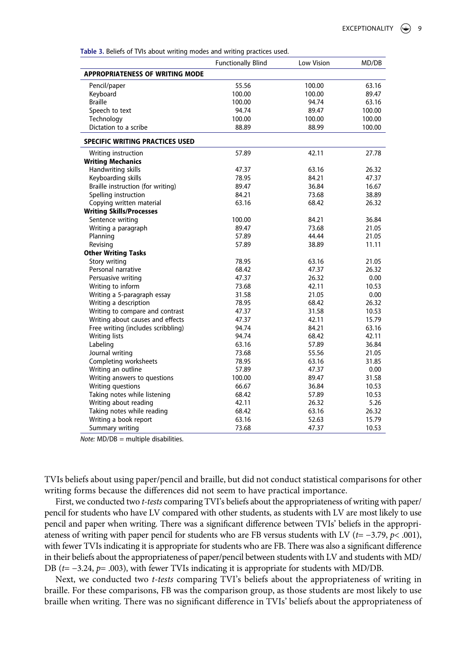<span id="page-9-0"></span>**Table 3.** Beliefs of TVIs about writing modes and writing practices used.

|                                        | <b>Functionally Blind</b> | Low Vision | MD/DB  |
|----------------------------------------|---------------------------|------------|--------|
| <b>APPROPRIATENESS OF WRITING MODE</b> |                           |            |        |
| Pencil/paper                           | 55.56                     | 100.00     | 63.16  |
| Keyboard                               | 100.00                    | 100.00     | 89.47  |
| <b>Braille</b>                         | 100.00                    | 94.74      | 63.16  |
| Speech to text                         | 94.74                     | 89.47      | 100.00 |
| Technology                             | 100.00                    | 100.00     | 100.00 |
| Dictation to a scribe                  | 88.89                     | 88.99      | 100.00 |
| SPECIFIC WRITING PRACTICES USED        |                           |            |        |
| Writing instruction                    | 57.89                     | 42.11      | 27.78  |
| <b>Writing Mechanics</b>               |                           |            |        |
| Handwriting skills                     | 47.37                     | 63.16      | 26.32  |
| Keyboarding skills                     | 78.95                     | 84.21      | 47.37  |
| Braille instruction (for writing)      | 89.47                     | 36.84      | 16.67  |
| Spelling instruction                   | 84.21                     | 73.68      | 38.89  |
| Copying written material               | 63.16                     | 68.42      | 26.32  |
| <b>Writing Skills/Processes</b>        |                           |            |        |
| Sentence writing                       | 100.00                    | 84.21      | 36.84  |
| Writing a paragraph                    | 89.47                     | 73.68      | 21.05  |
| Planning                               | 57.89                     | 44.44      | 21.05  |
| Revising                               | 57.89                     | 38.89      | 11.11  |
| <b>Other Writing Tasks</b>             |                           |            |        |
| Story writing                          | 78.95                     | 63.16      | 21.05  |
| Personal narrative                     | 68.42                     | 47.37      | 26.32  |
| Persuasive writing                     | 47.37                     | 26.32      | 0.00   |
| Writing to inform                      | 73.68                     | 42.11      | 10.53  |
| Writing a 5-paragraph essay            | 31.58                     | 21.05      | 0.00   |
| Writing a description                  | 78.95                     | 68.42      | 26.32  |
| Writing to compare and contrast        | 47.37                     | 31.58      | 10.53  |
| Writing about causes and effects       | 47.37                     | 42.11      | 15.79  |
| Free writing (includes scribbling)     | 94.74                     | 84.21      | 63.16  |
| <b>Writing lists</b>                   | 94.74                     | 68.42      | 42.11  |
| Labeling                               | 63.16                     | 57.89      | 36.84  |
| Journal writing                        | 73.68                     | 55.56      | 21.05  |
| Completing worksheets                  | 78.95                     | 63.16      | 31.85  |
| Writing an outline                     | 57.89                     | 47.37      | 0.00   |
| Writing answers to questions           | 100.00                    | 89.47      | 31.58  |
| Writing questions                      | 66.67                     | 36.84      | 10.53  |
| Taking notes while listening           | 68.42                     | 57.89      | 10.53  |
| Writing about reading                  | 42.11                     | 26.32      | 5.26   |
| Taking notes while reading             | 68.42                     | 63.16      | 26.32  |
| Writing a book report                  | 63.16                     | 52.63      | 15.79  |
| Summary writing                        | 73.68                     | 47.37      | 10.53  |

*Note:* MD/DB = multiple disabilities.

TVIs beliefs about using paper/pencil and braille, but did not conduct statistical comparisons for other writing forms because the differences did not seem to have practical importance.

First, we conducted two *t-tests* comparing TVI's beliefs about the appropriateness of writing with paper/ pencil for students who have LV compared with other students, as students with LV are most likely to use pencil and paper when writing. There was a significant difference between TVIs' beliefs in the appropriateness of writing with paper pencil for students who are FB versus students with LV (*t*= −3.79, *p*< .001), with fewer TVIs indicating it is appropriate for students who are FB. There was also a significant difference in their beliefs about the appropriateness of paper/pencil between students with LV and students with MD/ DB (*t*= −3.24, *p*= .003), with fewer TVIs indicating it is appropriate for students with MD/DB.

Next, we conducted two *t-tests* comparing TVI's beliefs about the appropriateness of writing in braille. For these comparisons, FB was the comparison group, as those students are most likely to use braille when writing. There was no significant difference in TVIs' beliefs about the appropriateness of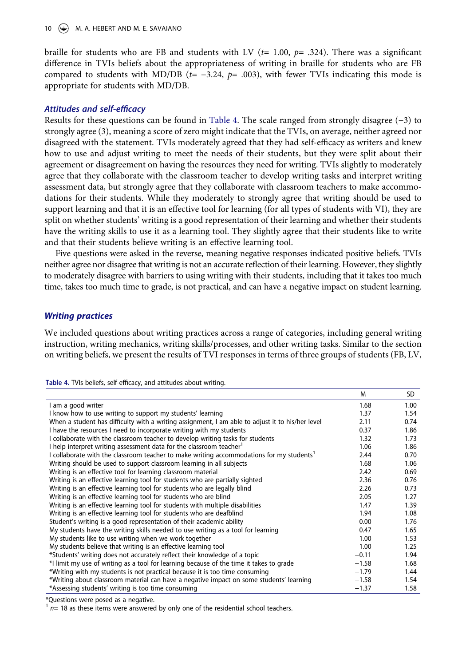#### 10  $\left(\bigstar\right)$  M. A. HEBERT AND M. E. SAVAIANO

braille for students who are FB and students with LV (*t*= 1.00, *p*= .324). There was a significant difference in TVIs beliefs about the appropriateness of writing in braille for students who are FB compared to students with MD/DB ( $t = -3.24$ ,  $p = .003$ ), with fewer TVIs indicating this mode is appropriate for students with MD/DB.

#### *Attitudes and self-efficacy*

Results for these questions can be found in [Table 4](#page-10-0). The scale ranged from strongly disagree (−3) to strongly agree (3), meaning a score of zero might indicate that the TVIs, on average, neither agreed nor disagreed with the statement. TVIs moderately agreed that they had self-efficacy as writers and knew how to use and adjust writing to meet the needs of their students, but they were split about their agreement or disagreement on having the resources they need for writing. TVIs slightly to moderately agree that they collaborate with the classroom teacher to develop writing tasks and interpret writing assessment data, but strongly agree that they collaborate with classroom teachers to make accommodations for their students. While they moderately to strongly agree that writing should be used to support learning and that it is an effective tool for learning (for all types of students with VI), they are split on whether students' writing is a good representation of their learning and whether their students have the writing skills to use it as a learning tool. They slightly agree that their students like to write and that their students believe writing is an effective learning tool.

Five questions were asked in the reverse, meaning negative responses indicated positive beliefs. TVIs neither agree nor disagree that writing is not an accurate reflection of their learning. However, they slightly to moderately disagree with barriers to using writing with their students, including that it takes too much time, takes too much time to grade, is not practical, and can have a negative impact on student learning.

# *Writing practices*

We included questions about writing practices across a range of categories, including general writing instruction, writing mechanics, writing skills/processes, and other writing tasks. Similar to the section on writing beliefs, we present the results of TVI responses in terms of three groups of students (FB, LV,

<span id="page-10-0"></span>

| Table 4. TVIs beliefs, self-efficacy, and attitudes about writing. |  |  |  |
|--------------------------------------------------------------------|--|--|--|
|--------------------------------------------------------------------|--|--|--|

|                                                                                                      | M       | SD.  |
|------------------------------------------------------------------------------------------------------|---------|------|
| I am a good writer                                                                                   | 1.68    | 1.00 |
| I know how to use writing to support my students' learning                                           | 1.37    | 1.54 |
| When a student has difficulty with a writing assignment, I am able to adjust it to his/her level     | 2.11    | 0.74 |
| I have the resources I need to incorporate writing with my students                                  | 0.37    | 1.86 |
| I collaborate with the classroom teacher to develop writing tasks for students                       | 1.32    | 1.73 |
| I help interpret writing assessment data for the classroom teacher <sup>1</sup>                      | 1.06    | 1.86 |
| I collaborate with the classroom teacher to make writing accommodations for my students <sup>1</sup> | 2.44    | 0.70 |
| Writing should be used to support classroom learning in all subjects                                 | 1.68    | 1.06 |
| Writing is an effective tool for learning classroom material                                         | 2.42    | 0.69 |
| Writing is an effective learning tool for students who are partially sighted                         | 2.36    | 0.76 |
| Writing is an effective learning tool for students who are legally blind                             | 2.26    | 0.73 |
| Writing is an effective learning tool for students who are blind                                     | 2.05    | 1.27 |
| Writing is an effective learning tool for students with multiple disabilities                        | 1.47    | 1.39 |
| Writing is an effective learning tool for students who are deafblind                                 | 1.94    | 1.08 |
| Student's writing is a good representation of their academic ability                                 | 0.00    | 1.76 |
| My students have the writing skills needed to use writing as a tool for learning                     | 0.47    | 1.65 |
| My students like to use writing when we work together                                                | 1.00    | 1.53 |
| My students believe that writing is an effective learning tool                                       | 1.00    | 1.25 |
| *Students' writing does not accurately reflect their knowledge of a topic                            | $-0.11$ | 1.94 |
| *I limit my use of writing as a tool for learning because of the time it takes to grade              | $-1.58$ | 1.68 |
| *Writing with my students is not practical because it is too time consuming                          | $-1.79$ | 1.44 |
| *Writing about classroom material can have a negative impact on some students' learning              | $-1.58$ | 1.54 |
| *Assessing students' writing is too time consuming                                                   | $-1.37$ | 1.58 |

\*Questions were posed as a negative. 1 *n*= 18 as these items were answered by only one of the residential school teachers.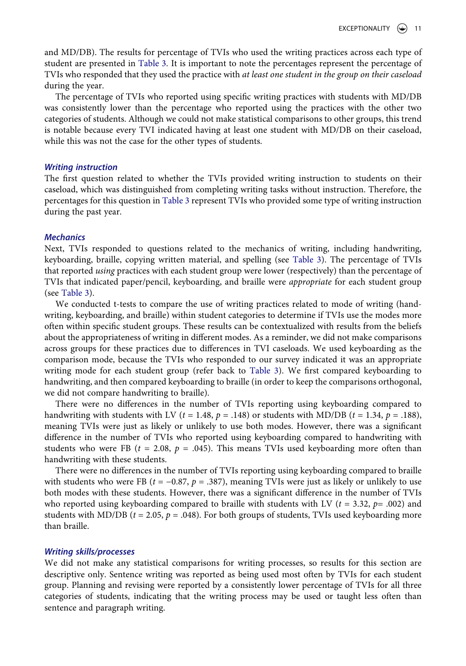and MD/DB). The results for percentage of TVIs who used the writing practices across each type of student are presented in [Table 3.](#page-9-0) It is important to note the percentages represent the percentage of TVIs who responded that they used the practice with *at least one student in the group on their caseload*  during the year.

The percentage of TVIs who reported using specific writing practices with students with MD/DB was consistently lower than the percentage who reported using the practices with the other two categories of students. Although we could not make statistical comparisons to other groups, this trend is notable because every TVI indicated having at least one student with MD/DB on their caseload, while this was not the case for the other types of students.

#### *Writing instruction*

The first question related to whether the TVIs provided writing instruction to students on their caseload, which was distinguished from completing writing tasks without instruction. Therefore, the percentages for this question in [Table 3](#page-9-0) represent TVIs who provided some type of writing instruction during the past year.

#### *Mechanics*

Next, TVIs responded to questions related to the mechanics of writing, including handwriting, keyboarding, braille, copying written material, and spelling (see [Table 3\)](#page-9-0). The percentage of TVIs that reported *using* practices with each student group were lower (respectively) than the percentage of TVIs that indicated paper/pencil, keyboarding, and braille were *appropriate* for each student group (see [Table 3](#page-9-0)).

We conducted t-tests to compare the use of writing practices related to mode of writing (handwriting, keyboarding, and braille) within student categories to determine if TVIs use the modes more often within specific student groups. These results can be contextualized with results from the beliefs about the appropriateness of writing in different modes. As a reminder, we did not make comparisons across groups for these practices due to differences in TVI caseloads. We used keyboarding as the comparison mode, because the TVIs who responded to our survey indicated it was an appropriate writing mode for each student group (refer back to [Table 3](#page-9-0)). We first compared keyboarding to handwriting, and then compared keyboarding to braille (in order to keep the comparisons orthogonal, we did not compare handwriting to braille).

There were no differences in the number of TVIs reporting using keyboarding compared to handwriting with students with LV ( $t = 1.48$ ,  $p = .148$ ) or students with MD/DB ( $t = 1.34$ ,  $p = .188$ ), meaning TVIs were just as likely or unlikely to use both modes. However, there was a significant difference in the number of TVIs who reported using keyboarding compared to handwriting with students who were FB ( $t = 2.08$ ,  $p = .045$ ). This means TVIs used keyboarding more often than handwriting with these students.

There were no differences in the number of TVIs reporting using keyboarding compared to braille with students who were FB (*t* = −0.87, *p* = .387), meaning TVIs were just as likely or unlikely to use both modes with these students. However, there was a significant difference in the number of TVIs who reported using keyboarding compared to braille with students with LV ( $t = 3.32$ ,  $p = .002$ ) and students with MD/DB ( $t = 2.05$ ,  $p = .048$ ). For both groups of students, TVIs used keyboarding more than braille.

#### *Writing skills/processes*

We did not make any statistical comparisons for writing processes, so results for this section are descriptive only. Sentence writing was reported as being used most often by TVIs for each student group. Planning and revising were reported by a consistently lower percentage of TVIs for all three categories of students, indicating that the writing process may be used or taught less often than sentence and paragraph writing.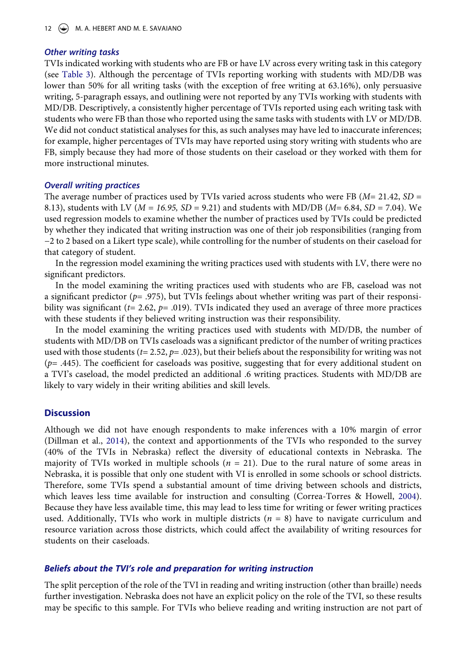# *Other writing tasks*

TVIs indicated working with students who are FB or have LV across every writing task in this category (see [Table 3\)](#page-9-0). Although the percentage of TVIs reporting working with students with MD/DB was lower than 50% for all writing tasks (with the exception of free writing at 63.16%), only persuasive writing, 5-paragraph essays, and outlining were not reported by any TVIs working with students with MD/DB. Descriptively, a consistently higher percentage of TVIs reported using each writing task with students who were FB than those who reported using the same tasks with students with LV or MD/DB. We did not conduct statistical analyses for this, as such analyses may have led to inaccurate inferences; for example, higher percentages of TVIs may have reported using story writing with students who are FB, simply because they had more of those students on their caseload or they worked with them for more instructional minutes.

# *Overall writing practices*

The average number of practices used by TVIs varied across students who were FB (*M*= 21.42, *SD* = 8.13), students with LV (*M = 16.95, SD* = 9.21) and students with MD/DB (*M*= 6.84, *SD* = 7.04). We used regression models to examine whether the number of practices used by TVIs could be predicted by whether they indicated that writing instruction was one of their job responsibilities (ranging from −2 to 2 based on a Likert type scale), while controlling for the number of students on their caseload for that category of student.

In the regression model examining the writing practices used with students with LV, there were no significant predictors.

In the model examining the writing practices used with students who are FB, caseload was not a significant predictor (*p*= .975), but TVIs feelings about whether writing was part of their responsibility was significant (*t*= 2.62, *p*= .019). TVIs indicated they used an average of three more practices with these students if they believed writing instruction was their responsibility.

In the model examining the writing practices used with students with MD/DB, the number of students with MD/DB on TVIs caseloads was a significant predictor of the number of writing practices used with those students (*t*= 2.52, *p*= .023), but their beliefs about the responsibility for writing was not  $(p= .445)$ . The coefficient for caseloads was positive, suggesting that for every additional student on a TVI's caseload, the model predicted an additional .6 writing practices. Students with MD/DB are likely to vary widely in their writing abilities and skill levels.

# **Discussion**

<span id="page-12-0"></span>Although we did not have enough respondents to make inferences with a 10% margin of error (Dillman et al., [2014](#page-16-20)), the context and apportionments of the TVIs who responded to the survey (40% of the TVIs in Nebraska) reflect the diversity of educational contexts in Nebraska. The majority of TVIs worked in multiple schools (*n* = 21). Due to the rural nature of some areas in Nebraska, it is possible that only one student with VI is enrolled in some schools or school districts. Therefore, some TVIs spend a substantial amount of time driving between schools and districts, which leaves less time available for instruction and consulting (Correa-Torres & Howell, [2004](#page-16-25)). Because they have less available time, this may lead to less time for writing or fewer writing practices used. Additionally, TVIs who work in multiple districts  $(n = 8)$  have to navigate curriculum and resource variation across those districts, which could affect the availability of writing resources for students on their caseloads.

#### *Beliefs about the TVI's role and preparation for writing instruction*

The split perception of the role of the TVI in reading and writing instruction (other than braille) needs further investigation. Nebraska does not have an explicit policy on the role of the TVI, so these results may be specific to this sample. For TVIs who believe reading and writing instruction are not part of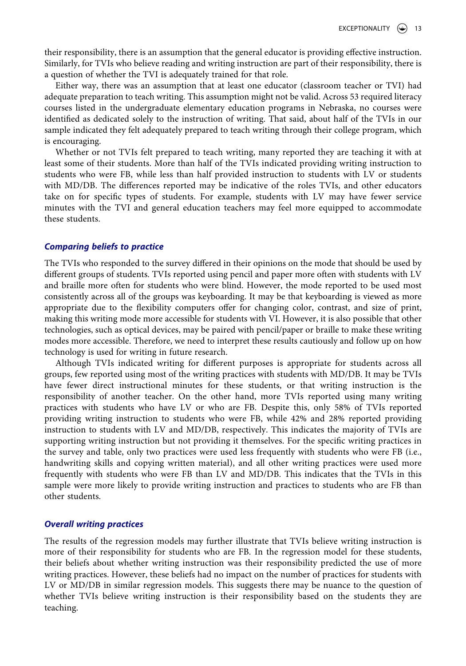their responsibility, there is an assumption that the general educator is providing effective instruction. Similarly, for TVIs who believe reading and writing instruction are part of their responsibility, there is a question of whether the TVI is adequately trained for that role.

Either way, there was an assumption that at least one educator (classroom teacher or TVI) had adequate preparation to teach writing. This assumption might not be valid. Across 53 required literacy courses listed in the undergraduate elementary education programs in Nebraska, no courses were identified as dedicated solely to the instruction of writing. That said, about half of the TVIs in our sample indicated they felt adequately prepared to teach writing through their college program, which is encouraging.

Whether or not TVIs felt prepared to teach writing, many reported they are teaching it with at least some of their students. More than half of the TVIs indicated providing writing instruction to students who were FB, while less than half provided instruction to students with LV or students with MD/DB. The differences reported may be indicative of the roles TVIs, and other educators take on for specific types of students. For example, students with LV may have fewer service minutes with the TVI and general education teachers may feel more equipped to accommodate these students.

# *Comparing beliefs to practice*

The TVIs who responded to the survey differed in their opinions on the mode that should be used by different groups of students. TVIs reported using pencil and paper more often with students with LV and braille more often for students who were blind. However, the mode reported to be used most consistently across all of the groups was keyboarding. It may be that keyboarding is viewed as more appropriate due to the flexibility computers offer for changing color, contrast, and size of print, making this writing mode more accessible for students with VI. However, it is also possible that other technologies, such as optical devices, may be paired with pencil/paper or braille to make these writing modes more accessible. Therefore, we need to interpret these results cautiously and follow up on how technology is used for writing in future research.

Although TVIs indicated writing for different purposes is appropriate for students across all groups, few reported using most of the writing practices with students with MD/DB. It may be TVIs have fewer direct instructional minutes for these students, or that writing instruction is the responsibility of another teacher. On the other hand, more TVIs reported using many writing practices with students who have LV or who are FB. Despite this, only 58% of TVIs reported providing writing instruction to students who were FB, while 42% and 28% reported providing instruction to students with LV and MD/DB, respectively. This indicates the majority of TVIs are supporting writing instruction but not providing it themselves. For the specific writing practices in the survey and table, only two practices were used less frequently with students who were FB (i.e., handwriting skills and copying written material), and all other writing practices were used more frequently with students who were FB than LV and MD/DB. This indicates that the TVIs in this sample were more likely to provide writing instruction and practices to students who are FB than other students.

# *Overall writing practices*

The results of the regression models may further illustrate that TVIs believe writing instruction is more of their responsibility for students who are FB. In the regression model for these students, their beliefs about whether writing instruction was their responsibility predicted the use of more writing practices. However, these beliefs had no impact on the number of practices for students with LV or MD/DB in similar regression models. This suggests there may be nuance to the question of whether TVIs believe writing instruction is their responsibility based on the students they are teaching.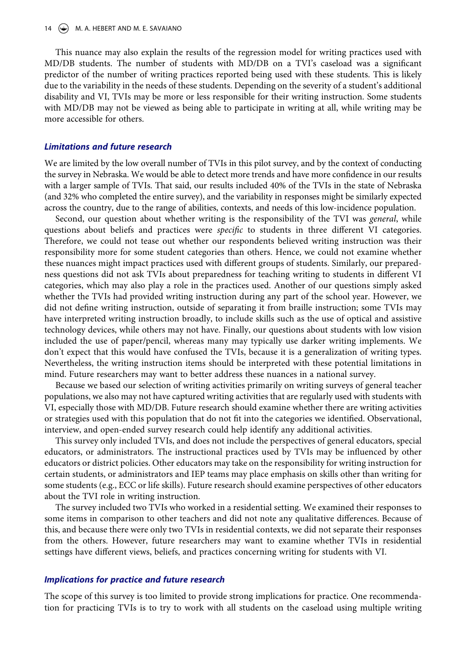#### 14  $\left(\bigstar\right)$  M. A. HEBERT AND M. E. SAVAIANO

This nuance may also explain the results of the regression model for writing practices used with MD/DB students. The number of students with MD/DB on a TVI's caseload was a significant predictor of the number of writing practices reported being used with these students. This is likely due to the variability in the needs of these students. Depending on the severity of a student's additional disability and VI, TVIs may be more or less responsible for their writing instruction. Some students with MD/DB may not be viewed as being able to participate in writing at all, while writing may be more accessible for others.

#### *Limitations and future research*

We are limited by the low overall number of TVIs in this pilot survey, and by the context of conducting the survey in Nebraska. We would be able to detect more trends and have more confidence in our results with a larger sample of TVIs. That said, our results included 40% of the TVIs in the state of Nebraska (and 32% who completed the entire survey), and the variability in responses might be similarly expected across the country, due to the range of abilities, contexts, and needs of this low-incidence population.

Second, our question about whether writing is the responsibility of the TVI was *general*, while questions about beliefs and practices were *specific* to students in three different VI categories. Therefore, we could not tease out whether our respondents believed writing instruction was their responsibility more for some student categories than others. Hence, we could not examine whether these nuances might impact practices used with different groups of students. Similarly, our preparedness questions did not ask TVIs about preparedness for teaching writing to students in different VI categories, which may also play a role in the practices used. Another of our questions simply asked whether the TVIs had provided writing instruction during any part of the school year. However, we did not define writing instruction, outside of separating it from braille instruction; some TVIs may have interpreted writing instruction broadly, to include skills such as the use of optical and assistive technology devices, while others may not have. Finally, our questions about students with low vision included the use of paper/pencil, whereas many may typically use darker writing implements. We don't expect that this would have confused the TVIs, because it is a generalization of writing types. Nevertheless, the writing instruction items should be interpreted with these potential limitations in mind. Future researchers may want to better address these nuances in a national survey.

Because we based our selection of writing activities primarily on writing surveys of general teacher populations, we also may not have captured writing activities that are regularly used with students with VI, especially those with MD/DB. Future research should examine whether there are writing activities or strategies used with this population that do not fit into the categories we identified. Observational, interview, and open-ended survey research could help identify any additional activities.

This survey only included TVIs, and does not include the perspectives of general educators, special educators, or administrators. The instructional practices used by TVIs may be influenced by other educators or district policies. Other educators may take on the responsibility for writing instruction for certain students, or administrators and IEP teams may place emphasis on skills other than writing for some students (e.g., ECC or life skills). Future research should examine perspectives of other educators about the TVI role in writing instruction.

The survey included two TVIs who worked in a residential setting. We examined their responses to some items in comparison to other teachers and did not note any qualitative differences. Because of this, and because there were only two TVIs in residential contexts, we did not separate their responses from the others. However, future researchers may want to examine whether TVIs in residential settings have different views, beliefs, and practices concerning writing for students with VI.

#### *Implications for practice and future research*

The scope of this survey is too limited to provide strong implications for practice. One recommendation for practicing TVIs is to try to work with all students on the caseload using multiple writing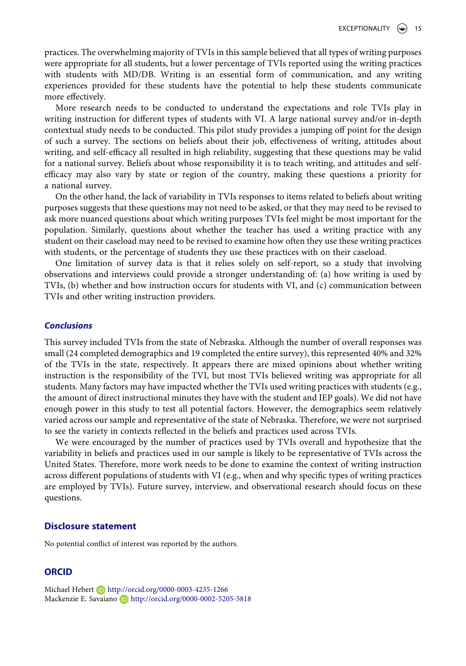practices. The overwhelming majority of TVIs in this sample believed that all types of writing purposes were appropriate for all students, but a lower percentage of TVIs reported using the writing practices with students with MD/DB. Writing is an essential form of communication, and any writing experiences provided for these students have the potential to help these students communicate more effectively.

More research needs to be conducted to understand the expectations and role TVIs play in writing instruction for different types of students with VI. A large national survey and/or in-depth contextual study needs to be conducted. This pilot study provides a jumping off point for the design of such a survey. The sections on beliefs about their job, effectiveness of writing, attitudes about writing, and self-efficacy all resulted in high reliability, suggesting that these questions may be valid for a national survey. Beliefs about whose responsibility it is to teach writing, and attitudes and selfefficacy may also vary by state or region of the country, making these questions a priority for a national survey.

On the other hand, the lack of variability in TVIs responses to items related to beliefs about writing purposes suggests that these questions may not need to be asked, or that they may need to be revised to ask more nuanced questions about which writing purposes TVIs feel might be most important for the population. Similarly, questions about whether the teacher has used a writing practice with any student on their caseload may need to be revised to examine how often they use these writing practices with students, or the percentage of students they use these practices with on their caseload.

One limitation of survey data is that it relies solely on self-report, so a study that involving observations and interviews could provide a stronger understanding of: (a) how writing is used by TVIs, (b) whether and how instruction occurs for students with VI, and (c) communication between TVIs and other writing instruction providers.

## *Conclusions*

This survey included TVIs from the state of Nebraska. Although the number of overall responses was small (24 completed demographics and 19 completed the entire survey), this represented 40% and 32% of the TVIs in the state, respectively. It appears there are mixed opinions about whether writing instruction is the responsibility of the TVI, but most TVIs believed writing was appropriate for all students. Many factors may have impacted whether the TVIs used writing practices with students (e.g., the amount of direct instructional minutes they have with the student and IEP goals). We did not have enough power in this study to test all potential factors. However, the demographics seem relatively varied across our sample and representative of the state of Nebraska. Therefore, we were not surprised to see the variety in contexts reflected in the beliefs and practices used across TVIs.

We were encouraged by the number of practices used by TVIs overall and hypothesize that the variability in beliefs and practices used in our sample is likely to be representative of TVIs across the United States. Therefore, more work needs to be done to examine the context of writing instruction across different populations of students with VI (e.g., when and why specific types of writing practices are employed by TVIs). Future survey, interview, and observational research should focus on these questions.

# **Disclosure statement**

No potential conflict of interest was reported by the authors.

# **ORCID**

Michael Hebert **http://orcid.org/0000-0003-4235-1266** Mackenzie E. Savaiano **D** http://orcid.org/0000-0002-5205-5818